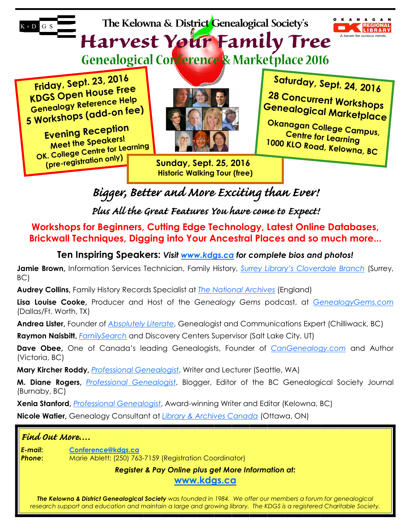**The Kelowna & District Genealogical Society's** 



**Harvest Your Family Tree Genealogical Conference & Marketplace 2016**

**Friday, Sept. 23, <sup>2016</sup> KDGS Open House Free Genealogy Reference Help <sup>5</sup> Workshops (add-on fee)**

 $K * D$  G S

**Evening Reception Meet the Speakers! OK. College Centre for Learning (pre-registration only)**



**Sunday, Sept. 25, 2016 Historic Walking Tour (free)**  **Saturday, Sept. 24, 2016**

**G e n e alogical Marketplace 2 8 C oncurrent Workshops**

**Okan C a e gan College Campus, 10 <sup>00</sup> KLO Road, Kelowna, BC ntre for Learning**

**Bigger, Better and More Exciting than Ever!** 

**Plus All the Great Features You have come to Expect!** 

**Workshops for Beginners, Cutting Edge Technology, Latest Online Databases, Brickwall Techniques, Digging into Your Ancestral Places and so much more...** 

**Ten Inspiring Speakers:** *Visit www.kdgs.ca for complete bios and photos!* 

**Jamie Brown,** Information Services Technician, Family History, *Surrey Library's Cloverdale Branch* (Surrey, BC)

**Audrey Collins,** Family History Records Specialist at *The National Archives* (England)

**Lisa Louise Cooke,** Producer and Host of the *Genealogy Gems* podcast, at *GenealogyGems.com* (Dallas/Ft. Worth, TX)

**Andrea Lister,** Founder of *Absolutely Literate*, Genealogist and Communications Expert (Chilliwack, BC)

**Raymon Naisbitt,** *FamilySearch* and Discovery Centers Supervisor (Salt Lake City, UT)

**Dave Obee,** One of Canada's leading Genealogists, Founder of *CanGenealogy.com* and Author (Victoria, BC)

**Mary Kircher Roddy,** *Professional Genealogist*, Writer and Lecturer (Seattle, WA)

**M. Diane Rogers,** *Professional Genealogist*, Blogger, Editor of the BC Genealogical Society Journal (Burnaby, BC)

**Xenia Stanford,** *Professional Genealogist*, Award-winning Writer and Editor (Kelowna, BC)

**Nicole Watier,** Genealogy Consultant at *Library & Archives Canada* (Ottawa, ON)

# **Find Out More….**

*E-mail***: Conference@kdgs.ca Phone:** Marie Ablett; (250) 763-7159 (Registration Coordinator)

*Register & Pay Online plus get More Information at:* 

**www.kdgs.ca**

*The Kelowna & District Genealogical Society was founded in 1984. We offer our members a forum for genealogical research support and education and maintain a large and growing library. The KDGS is a registered Charitable Society.*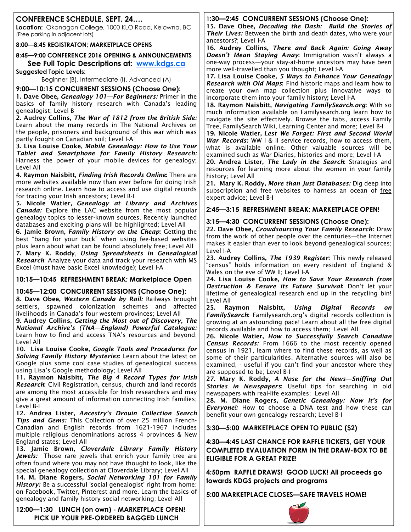### **CONFERENCE SCHEDULE, SEPT. 24….**

**Location:** Okanagan College, 1000 KLO Road, Kelowna, BC (Free parking in adjacent lots)

#### **8:00—8:45 REGISTRATON; MARKETPLACE OPENS**

**8:45—9:00 CONFERENCE 2016 OPENING & ANNOUNCEMENTS See Full Topic Descriptions at: www.kdgs.ca**

**Suggested Topic Levels:** 

Beginner (B), Intermediate (I), Advanced (A)

**9:00—10:15 CONCURRENT SESSIONS (Choose One):** 

**1. Dave Obee,** *Genealogy 101—For Beginners: Primer in the basics of family history research with Canada's leading genealogist; Level B* 

**2. Audrey Collins,** *The War of 1812 from the British Side: Learn about the many records in The National Archives on the people, prisoners and background of this war which was partly fought on Canadian soil; Level I-A* 

**3. Lisa Louise Cooke,** *Mobile Genealogy: How to Use Your Tablet and Smartphone for Family History Research: Harness the power of your mobile devices for genealogy; Level All* 

**4. Raymon Naisbitt,** *Finding Irish Records Online***:** *There are more websites available now than ever before for doing Irish research online. Learn how to access and use digital records for tracing your Irish ancestors; Level B-I* 

**5. Nicole Watier,** *Genealogy at Library and Archives Canada: Explore the LAC website from the most popular genealogy topics to lesser-known sources. Recently launched databases and exciting plans will be highlighted; Level All* 

**6. Jamie Brown,** *Family History on the Cheap***:** *Getting the best "bang for your buck" when using fee-based websites plus learn about what can be found absolutely free; Level All*  **7. Mary K. Roddy***, Using Spreadsheets in Genealogical Research: Analyze your data and track your research with MS Excel (must have basic Excel knowledge); Level I-A* 

#### **10:15—10:45 REFRESHMENT BREAK; Marketplace Open**

#### **10:45—12:00 CONCURRENT SESSIONS (Choose One):**

**8. Dave Obee,** *Western Canada by Rail: Railways brought settlers, spawned colonization schemes and affected livelihoods in Canada's four western provinces; Level All* 

**9. Audrey Collins,** *Getting the Most out of Discovery, The National Archive's (TNA—England) Powerful Catalogue: Learn how to find and access TNA's resources and beyond; Level All* 

**10. Lisa Louise Cooke,** *Google Tools and Procedures for Solving Family History Mysteries***:** *Learn about the latest on Google plus some cool case studies of genealogical success using Lisa's Google methodology; Level All* 

**11. Raymon Naisbitt,** *The Big 4 Record Types for Irish Research***:** *Civil Registration, census, church and land records are among the most accessible for Irish researchers and may give a great amount of information connecting Irish families; Level B-I* 

**12. Andrea Lister,** *Ancestry's Drouin Collection Search Tips and Gems: This Collection of over 25 million French-Canadian and English records from 1621-1967 includes multiple religious denominations across 4 provinces & New England states; Level All*

**13. Jamie Brown,** *Cloverdale Library Family History Jewels: Those rare jewels that enrich your family tree are often found where you may not have thought to look, like the special genealogy collection at Cloverdale Library; Level All* 

**14. M. Diane Rogers,** *Social Networking 101 for Family History: Be a successful 'social genealogist' right from home: on Facebook, Twitter, Pinterest and more. Learn the basics of genealogy and family history social networking; Level All* 

**12:00—1:30 LUNCH (on own) - MARKETPLACE OPEN! PICK UP YOUR PRE-ORDERED BAGGED LUNCH** 

# **1:30—2:45 CONCURRENT SESSIONS (Choose One):**

**15. Dave Obee,** *Decoding the Dash: Build the Stories of Their Lives: Between the birth and death dates, who were your ancestors?; Level I-A* 

**16. Audrey Collins,** *There and Back Again: Going Away Doesn't Mean Staying Away***:** *Immigration wasn't always a one-way process—your stay-at-home ancestors may have been more well-travelled than you thought; Level I-A* 

**17. Lisa Louise Cooke,** *5 Ways to Enhance Your Genealogy Research with Old Maps***:** *Find historic maps and learn how to create your own map collection plus innovative ways to incorporate them into your family history***;** *Level I-A* 

**18. Raymon Naisbitt,** *Navigating FamilySearch.org***:** *With so much information available on Familysearch.org learn how to navigate the site effectively. Browse the tabs, access Family Tree, FamilySearch Wiki, Learning Center and more; Level B-I* 

**19. Nicole Watier,** *Lest We Forget: First and Second World War Records: WW I & II service records, how to access them, what is available online. Other valuable sources will be examined such as War Diaries, histories and more; Level I-A* 

**20. Andrea Lister,** *The Lady in the Search***:** *Strategies and resources for learning more about the women in your family history; Level All*

**21. Mary K. Roddy,** *More than Just Databases: Dig deep into subscription and free websites to harness an ocean of free expert advice; Level B-I*

**2:45—3:15 REFRESHMENT BREAK; MARKETPLACE OPEN!** 

### **3:15—4:30 CONCURRENT SESSIONS (Choose One):**

**22. Dave Obee,** *Crowdsourcing Your Family Research: Draw from the work of other people over the centuries—the Internet makes it easier than ever to look beyond genealogical sources; Level I-A* 

**23. Audrey Collins,** *The 1939 Register***:** *This newly released "census" holds information on every resident of England & Wales on the eve of WW II; Level I-A* 

**24. Lisa Louise Cooke,** *How to Save Your Research from Destruction & Ensure its Future Survival***:** *Don't let your lifetime of genealogical research end up in the recycling bin! Level All* 

**25. Raymon Naisbitt,** *Using Digital Records on FamilySearch***:** *Familysearch.org's digital records collection is growing at an astounding pace! Learn about all the free digital records available and how to access them; Level All*

**26. Nicole Watier,** *How to Successfully Search Canadian Census Records: From 1666 to the most recently opened census in 1921, learn where to find these records, as well as some of their particularities. Alternative sources will also be examined, - useful if you can't find your ancestor where they are supposed to be; Level B-I* 

**27. Mary K. Roddy,** *A Nose for the News—Sniffing Out Stories in Newspapers***:** *Useful tips for searching in old newspapers with real-life examples; Level All* 

**28. M. Diane Rogers,** *Genetic Genealogy: Now it's for Everyone!: How to choose a DNA test and how these can benefit your own genealogy research; Level B-I* 

**3:30—5:00 MARKETPLACE OPEN TO PUBLIC (\$2)** 

**4:30—4:45 LAST CHANCE FOR RAFFLE TICKETS, GET YOUR COMPLETED EVALUATION FORM IN THE DRAW-BOX TO BE ELIGIBLE FOR A GREAT PRIZE!** 

**4:50pm RAFFLE DRAWS! GOOD LUCK! All proceeds go towards KDGS projects and programs** 

**5:00 MARKETPLACE CLOSES—SAFE TRAVELS HOME!** 

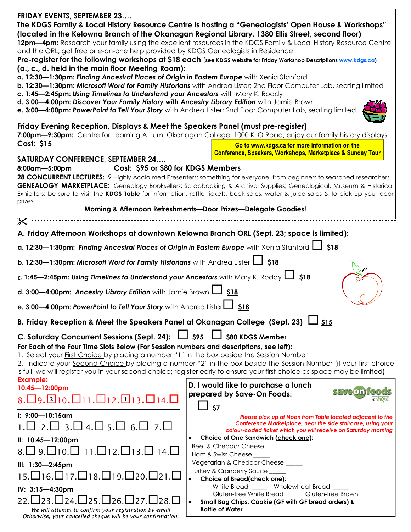| <b>FRIDAY EVENTS, SEPTEMBER 23</b><br>and the ORL; get free one-on-one help provided by KDGS Genealogists in Residence                                                                                                                                                                                                                                                                                                                        | The KDGS Family & Local History Resource Centre is hosting a "Genealogists' Open House & Workshops"<br>(located in the Kelowna Branch of the Okanagan Regional Library, 1380 Ellis Street, second floor)<br>12pm-4pm: Research your family using the excellent resources in the KDGS Family & Local History Resource Centre                                                       |  |
|-----------------------------------------------------------------------------------------------------------------------------------------------------------------------------------------------------------------------------------------------------------------------------------------------------------------------------------------------------------------------------------------------------------------------------------------------|-----------------------------------------------------------------------------------------------------------------------------------------------------------------------------------------------------------------------------------------------------------------------------------------------------------------------------------------------------------------------------------|--|
|                                                                                                                                                                                                                                                                                                                                                                                                                                               | Pre-register for the following workshops at \$18 each (see KDGS website for Friday Workshop Descriptions www.kdgs.ca)                                                                                                                                                                                                                                                             |  |
| (a., c., d. held in the main floor Meeting Room):<br>a. 12:30-1:30pm: Finding Ancestral Places of Origin in Eastern Europe with Xenia Stanford<br>c. 1:45-2:45pm: Using Timelines to Understand your Ancestors with Mary K. Roddy<br>d. 3:00-4:00pm: Discover Your Family History with Ancestry Library Edition with Jamie Brown<br>e. 3:00-4:00pm: PowerPoint to Tell Your Story with Andrea Lister; 2nd Floor Computer Lab, seating limited | b. 12:30-1:30pm: Microsoft Word for Family Historians with Andrea Lister; 2nd Floor Computer Lab, seating limited                                                                                                                                                                                                                                                                 |  |
| Friday Evening Reception, Displays & Meet the Speakers Panel (must pre-register)                                                                                                                                                                                                                                                                                                                                                              |                                                                                                                                                                                                                                                                                                                                                                                   |  |
|                                                                                                                                                                                                                                                                                                                                                                                                                                               | 7:00pm-9:30pm: Centre for Learning Atrium, Okanagan College, 1000 KLO Road; enjoy our family history displays!                                                                                                                                                                                                                                                                    |  |
| Cost: \$15                                                                                                                                                                                                                                                                                                                                                                                                                                    | Go to www.kdgs.ca for more information on the                                                                                                                                                                                                                                                                                                                                     |  |
| <b>SATURDAY CONFERENCE, SEPTEMBER 24</b>                                                                                                                                                                                                                                                                                                                                                                                                      | <b>Conference, Speakers, Workshops, Marketplace &amp; Sunday Tour</b>                                                                                                                                                                                                                                                                                                             |  |
| Cost: \$95 or \$80 for KDGS Members<br>8:00am-5:00pm                                                                                                                                                                                                                                                                                                                                                                                          |                                                                                                                                                                                                                                                                                                                                                                                   |  |
|                                                                                                                                                                                                                                                                                                                                                                                                                                               | 28 CONCURRENT LECTURES: 9 Highly Acclaimed Presenters; something for everyone, from beginners to seasoned researchers<br>GENEALOGY MARKETPLACE: Genealogy Booksellers; Scrapbooking & Archival Supplies; Genealogical, Museum & Historical<br>Exhibitors; be sure to visit the KDGS Table for information, raffle tickets, book sales, water & juice sales & to pick up your door |  |
| prizes                                                                                                                                                                                                                                                                                                                                                                                                                                        |                                                                                                                                                                                                                                                                                                                                                                                   |  |
|                                                                                                                                                                                                                                                                                                                                                                                                                                               | Morning & Afternoon Refreshments-Door Prizes-Delegate Goodies!                                                                                                                                                                                                                                                                                                                    |  |
| $\boldsymbol{\times}$                                                                                                                                                                                                                                                                                                                                                                                                                         |                                                                                                                                                                                                                                                                                                                                                                                   |  |
| A. Friday Afternoon Workshops at downtown Kelowna Branch ORL (Sept. 23; space is limited):                                                                                                                                                                                                                                                                                                                                                    |                                                                                                                                                                                                                                                                                                                                                                                   |  |
| a. 12:30-1:30pm: Finding Ancestral Places of Origin in Eastern Europe with Xenia Stanford [16318]                                                                                                                                                                                                                                                                                                                                             |                                                                                                                                                                                                                                                                                                                                                                                   |  |
| b. 12:30-1:30pm: Microsoft Word for Family Historians with Andrea Lister [1318]                                                                                                                                                                                                                                                                                                                                                               |                                                                                                                                                                                                                                                                                                                                                                                   |  |
| c. 1:45-2:45pm: Using Timelines to Understand your Ancestors with Mary K. Roddy L<br><b>\$18</b>                                                                                                                                                                                                                                                                                                                                              |                                                                                                                                                                                                                                                                                                                                                                                   |  |
| d. 3:00-4:00pm: Ancestry Library Edition with Jamie Brown L<br>\$18                                                                                                                                                                                                                                                                                                                                                                           |                                                                                                                                                                                                                                                                                                                                                                                   |  |
| e. 3:00-4:00pm: PowerPoint to Tell Your Story with Andrea Lister<br>\$18                                                                                                                                                                                                                                                                                                                                                                      |                                                                                                                                                                                                                                                                                                                                                                                   |  |
| B. Friday Reception & Meet the Speakers Panel at Okanagan College (Sept. 23) $\Box$ S15                                                                                                                                                                                                                                                                                                                                                       |                                                                                                                                                                                                                                                                                                                                                                                   |  |
| $\frac{1}{\sqrt{5}}$<br>C. Saturday Concurrent Sessions (Sept. 24):<br>\$80 KDGS Member                                                                                                                                                                                                                                                                                                                                                       |                                                                                                                                                                                                                                                                                                                                                                                   |  |
| For Each of the Four Time Slots Below (For Session numbers and descriptions, see left):<br>1. Select your <b>First Choice by placing a number</b> "1" in the box beside the Session Number                                                                                                                                                                                                                                                    | 2. Indicate your Second Choice by placing a number "2" in the box beside the Session Number (if your first choice<br>is full, we will register you in your second choice; register early to ensure your first choice as space may be limited)                                                                                                                                     |  |
| <b>Example:</b><br>10:45-12:00pm                                                                                                                                                                                                                                                                                                                                                                                                              | D. I would like to purchase a lunch                                                                                                                                                                                                                                                                                                                                               |  |
| 8. 09. 210. 011. 012. 013. 014. 0                                                                                                                                                                                                                                                                                                                                                                                                             | Salveol<br>prepared by Save-On Foods:<br>\$7                                                                                                                                                                                                                                                                                                                                      |  |
| $\frac{1}{2}$ : 9:00-10:15am<br>$2 \sqcup 3 \sqcup 4 \sqcup 5$<br>$6. \square$ 7.                                                                                                                                                                                                                                                                                                                                                             | Please pick up at Noon from Table located adjacent to the<br>Conference Marketplace, near the side staircase, using your<br>colour-coded ficket which you will receive on Saturday morning                                                                                                                                                                                        |  |
| II: 10:45-12:00pm                                                                                                                                                                                                                                                                                                                                                                                                                             | Choice of One Sandwich (check one):                                                                                                                                                                                                                                                                                                                                               |  |
| □ 9.□10.□ 11.□12.□13 □ 14 □                                                                                                                                                                                                                                                                                                                                                                                                                   | Beef & Cheddar Cheese _____                                                                                                                                                                                                                                                                                                                                                       |  |
| III: 1:30-2:45pm                                                                                                                                                                                                                                                                                                                                                                                                                              | Ham & Swiss Cheese<br>Vegetarian & Cheddar Cheese _____                                                                                                                                                                                                                                                                                                                           |  |
| 15.□16.□17.□18.□19.□20.□21.□                                                                                                                                                                                                                                                                                                                                                                                                                  | Turkey & Cranberry Sauce _____<br>Choice of Bread(check one):                                                                                                                                                                                                                                                                                                                     |  |
| IV: 3:15-4:30pm                                                                                                                                                                                                                                                                                                                                                                                                                               | White Bread _____ Wholewheat Bread<br>Gluten-free White Bread _____ Gluten-free Brown ____                                                                                                                                                                                                                                                                                        |  |
| $\sqcup$ 25. $\sqcup$ 26. $\sqcup$ 27.<br>22 ∐23 I<br>124                                                                                                                                                                                                                                                                                                                                                                                     | Small Bag Chips, Cookie (GF with GF bread orders) &<br>$\bullet$                                                                                                                                                                                                                                                                                                                  |  |
| We will attempt to confirm your registration by email<br>Otherwise, your cancelled cheque will be your confirmation.                                                                                                                                                                                                                                                                                                                          | <b>Bottle of Water</b>                                                                                                                                                                                                                                                                                                                                                            |  |